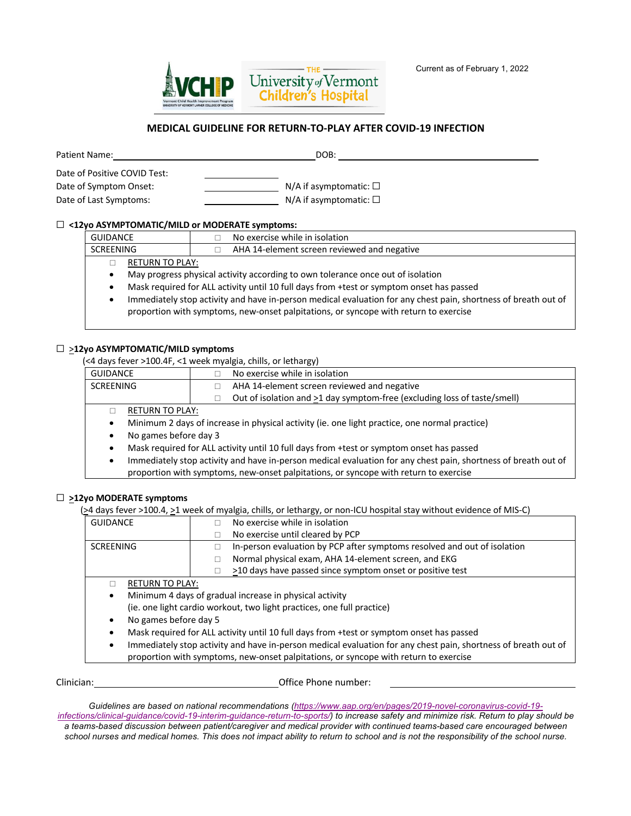

## **MEDICAL GUIDELINE FOR RETURN-TO-PLAY AFTER COVID-19 INFECTION**

| <b>Patient Name:</b>                                                             | DOB:                                                               |
|----------------------------------------------------------------------------------|--------------------------------------------------------------------|
| Date of Positive COVID Test:<br>Date of Symptom Onset:<br>Date of Last Symptoms: | $N/A$ if asymptomatic: $\square$<br>N/A if asymptomatic: $\square$ |

## ☐ **<12yo ASYMPTOMATIC/MILD or MODERATE symptoms:**

| GUIDANCE  |                 | No exercise while in isolation              |
|-----------|-----------------|---------------------------------------------|
| SCREENING |                 | AHA 14-element screen reviewed and negative |
|           | RETURN TO PLAY: |                                             |
|           |                 |                                             |

• May progress physical activity according to own tolerance once out of isolation

- Mask required for ALL activity until 10 full days from +test or symptom onset has passed
- Immediately stop activity and have in-person medical evaluation for any chest pain, shortness of breath out of proportion with symptoms, new-onset palpitations, or syncope with return to exercise

## ☐ >**12yo ASYMPTOMATIC/MILD symptoms**

(<4 days fever >100.4F, <1 week myalgia, chills, or lethargy)

| <b>GUIDANCE</b> |                                                                                               |  | No exercise while in isolation                                           |
|-----------------|-----------------------------------------------------------------------------------------------|--|--------------------------------------------------------------------------|
| SCREENING       |                                                                                               |  | AHA 14-element screen reviewed and negative                              |
|                 |                                                                                               |  | Out of isolation and >1 day symptom-free (excluding loss of taste/smell) |
|                 | RETURN TO PLAY:                                                                               |  |                                                                          |
|                 | Minimum 2 days of increase in physical activity (ie. one light practice, one normal practice) |  |                                                                          |
|                 | No games before day 3                                                                         |  |                                                                          |

- Mask required for ALL activity until 10 full days from +test or symptom onset has passed
- Immediately stop activity and have in-person medical evaluation for any chest pain, shortness of breath out of proportion with symptoms, new-onset palpitations, or syncope with return to exercise

## ☐ **>12yo MODERATE symptoms**

(>4 days fever >100.4, >1 week of myalgia, chills, or lethargy, or non-ICU hospital stay without evidence of MIS-C)

| <b>GUIDANCE</b>                                                                                                     |  | No exercise while in isolation                                           |
|---------------------------------------------------------------------------------------------------------------------|--|--------------------------------------------------------------------------|
|                                                                                                                     |  | No exercise until cleared by PCP                                         |
| <b>SCREENING</b>                                                                                                    |  | In-person evaluation by PCP after symptoms resolved and out of isolation |
|                                                                                                                     |  | Normal physical exam, AHA 14-element screen, and EKG                     |
|                                                                                                                     |  | >10 days have passed since symptom onset or positive test                |
| <b>RETURN TO PLAY:</b>                                                                                              |  |                                                                          |
| Minimum 4 days of gradual increase in physical activity<br>٠                                                        |  |                                                                          |
| (ie. one light cardio workout, two light practices, one full practice)                                              |  |                                                                          |
| No games before day 5                                                                                               |  |                                                                          |
| Mask required for ALL activity until 10 full days from +test or symptom onset has passed                            |  |                                                                          |
| Immediately stop activity and have in-person medical evaluation for any chest pain, shortness of breath out of<br>٠ |  |                                                                          |
| proportion with symptoms, new-onset palpitations, or syncope with return to exercise                                |  |                                                                          |
|                                                                                                                     |  |                                                                          |

Clinician: Office Phone number:

*Guidelines are based on national recommendations (https://www.aap.org/en/pages/2019-novel-coronavirus-covid-19 infections/clinical-guidance/covid-19-interim-guidance-return-to-sports/) to increase safety and minimize risk. Return to play should be a teams-based discussion between patient/caregiver and medical provider with continued teams-based care encouraged between school nurses and medical homes. This does not impact ability to return to school and is not the responsibility of the school nurse.*